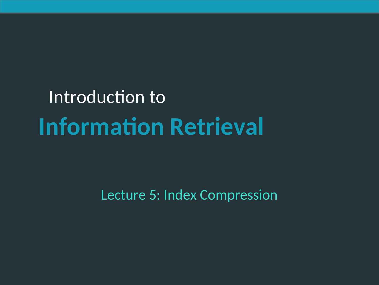# Introduction to **Information Retrieval**

Lecture 5: Index Compression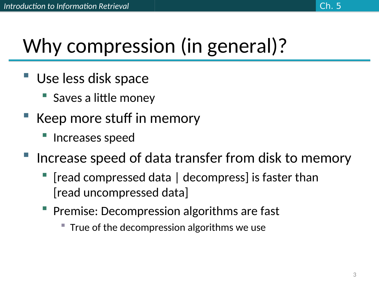## Why compression (in general)?

- Use less disk space
	- Saves a little money
- Keep more stuff in memory
	- Increases speed
- Increase speed of data transfer from disk to memory
	- [read compressed data | decompress] is faster than [read uncompressed data]
	- Premise: Decompression algorithms are fast
		- True of the decompression algorithms we use

Ch. 5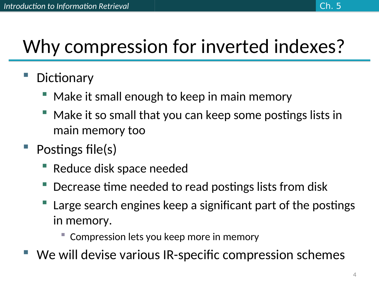### Why compression for inverted indexes?

- **Dictionary** 
	- Make it small enough to keep in main memory
	- Make it so small that you can keep some postings lists in main memory too
- Postings file(s)
	- Reduce disk space needed
	- Decrease time needed to read postings lists from disk
	- Large search engines keep a significant part of the postings in memory.
		- Compression lets you keep more in memory
- We will devise various IR-specific compression schemes

Ch. 5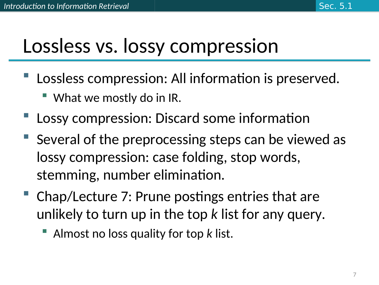### Lossless vs. lossy compression

- Lossless compression: All information is preserved.
	- What we mostly do in IR.
- Lossy compression: Discard some information
- Several of the preprocessing steps can be viewed as lossy compression: case folding, stop words, stemming, number elimination.
- Chap/Lecture 7: Prune postings entries that are unlikely to turn up in the top *k* list for any query.
	- Almost no loss quality for top *k* list.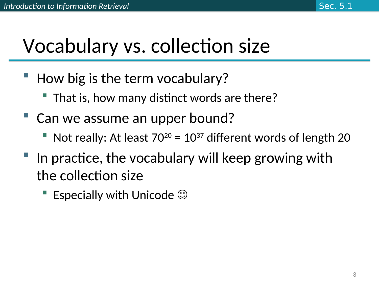### Vocabulary vs. collection size

- How big is the term vocabulary?
	- That is, how many distinct words are there?
- Can we assume an upper bound?
	- Not really: At least  $70^{20}$  =  $10^{37}$  different words of length 20
- In practice, the vocabulary will keep growing with the collection size
	- Especially with Unicode  $\odot$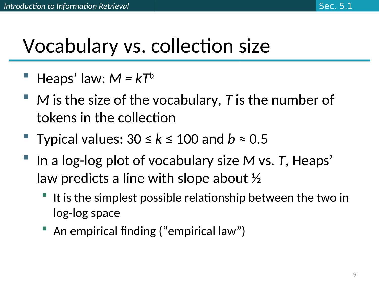### Vocabulary vs. collection size

- Heaps' law: *M = kT<sup>b</sup>*
- *M* is the size of the vocabulary, *T* is the number of tokens in the collection
- Typical values: 30 ≤ *k* ≤ 100 and *b* ≈ 0.5
- In a log-log plot of vocabulary size *M* vs. *T*, Heaps' law predicts a line with slope about ½
	- It is the simplest possible relationship between the two in log-log space
	- An empirical finding ("empirical law")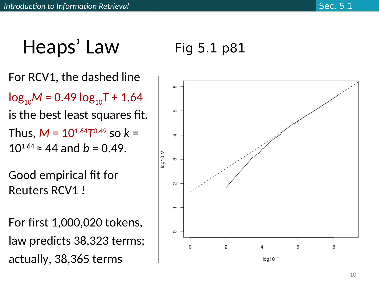## Heaps' Law

#### For RCV1, the dashed line

 $log_{10}M = 0.49 log_{10}T + 1.64$ 

is the best least squares fit.

Thus,  $M = 10^{1.64}T^{0.49}$  so  $k =$  $10^{1.64} \approx 44$  and  $b = 0.49$ .

Good empirical fit for Reuters RCV1 !

For first 1,000,020 tokens, law predicts 38,323 terms; actually, 38,365 terms

#### Fig 5.1 p81

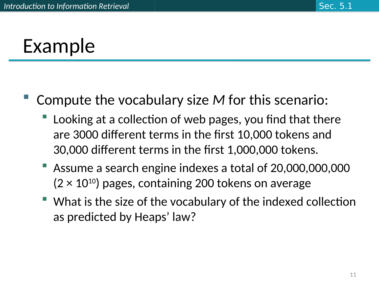### Example

- Compute the vocabulary size *M* for this scenario:
	- Looking at a collection of web pages, you find that there are 3000 different terms in the first 10,000 tokens and 30,000 different terms in the first 1,000,000 tokens.
	- Assume a search engine indexes a total of 20,000,000,000  $(2 \times 10^{10})$  pages, containing 200 tokens on average
	- What is the size of the vocabulary of the indexed collection as predicted by Heaps' law?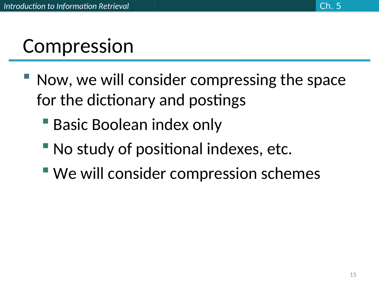### Compression

- Now, we will consider compressing the space for the dictionary and postings
	- Basic Boolean index only
	- No study of positional indexes, etc.
	- We will consider compression schemes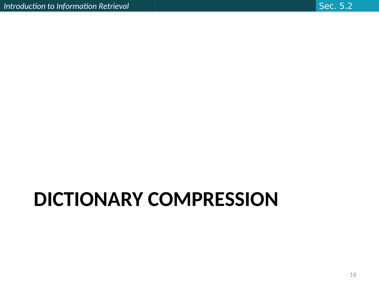# **DICTIONARY COMPRESSION**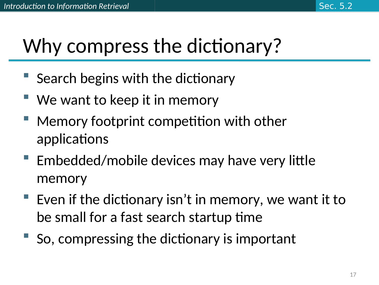## Why compress the dictionary?

- Search begins with the dictionary
- We want to keep it in memory
- Memory footprint competition with other applications
- **Embedded/mobile devices may have very little** memory
- Even if the dictionary isn't in memory, we want it to be small for a fast search startup time
- So, compressing the dictionary is important

Sec. 5.2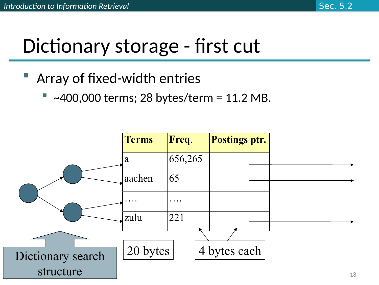### Dictionary storage - first cut

#### Array of fixed-width entries

 $\sim$ 400,000 terms; 28 bytes/term = 11.2 MB.

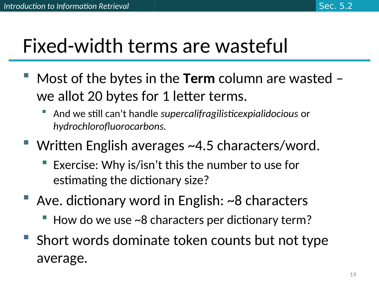### Fixed-width terms are wasteful

- Most of the bytes in the **Term** column are wasted we allot 20 bytes for 1 letter terms.
	- And we still can't handle *supercalifragilisticexpialidocious* or *hydrochlorofluorocarbons.*
- Written English averages ~4.5 characters/word.
	- Exercise: Why is/isn't this the number to use for estimating the dictionary size?
- Ave. dictionary word in English: ~8 characters
	- How do we use ~8 characters per dictionary term?
- **Short words dominate token counts but not type** average.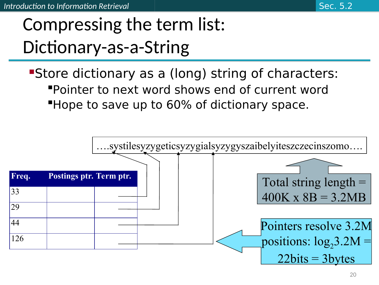Store dictionary as a (long) string of characters: Pointer to next word shows end of current word **Hope to save up to 60% of dictionary space.** 

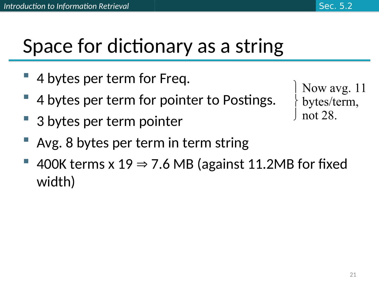### Space for dictionary as a string

- 4 bytes per term for Freq.
- 4 bytes per term for pointer to Postings.
- 3 bytes per term pointer

```
 Now avg. 11
bytes/term,
not 28.
```
- Avg. 8 bytes per term in term string
- 400K terms x  $19 \Rightarrow 7.6$  MB (against 11.2MB for fixed width)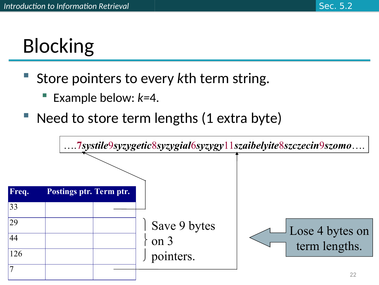## **Blocking**

- Store pointers to every *k*th term string.
	- Example below: *k=*4.
- Need to store term lengths (1 extra byte)

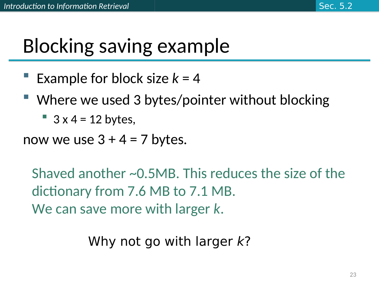### Blocking saving example

- Example for block size  $k = 4$
- Where we used 3 bytes/pointer without blocking
	- $\blacksquare$  3 x 4 = 12 bytes,
- now we use  $3 + 4 = 7$  bytes.

Shaved another ~0.5MB. This reduces the size of the dictionary from 7.6 MB to 7.1 MB. We can save more with larger *k*.

Why not go with larger  $k$ ?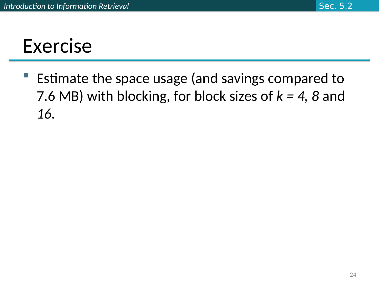### Exercise

 Estimate the space usage (and savings compared to 7.6 MB) with blocking, for block sizes of *k = 4, 8* and *16.*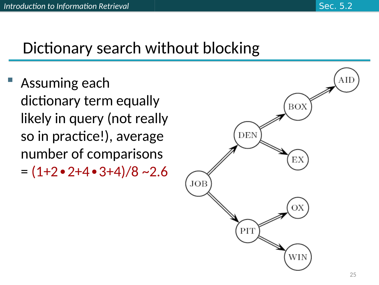#### Dictionary search without blocking

 Assuming each dictionary term equally likely in query (not really so in practice!), average number of comparisons = (1+2∙2+4∙3+4)/8 ~2.6

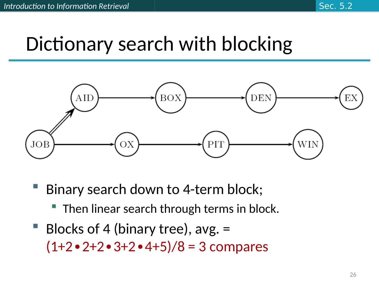### Dictionary search with blocking



- Binary search down to 4-term block;
	- Then linear search through terms in block.
- Blocks of 4 (binary tree), avg. = (1+2∙2+2∙3+2∙4+5)/8 = 3 compares

Sec. 5.2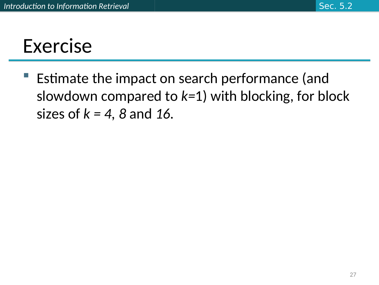### Exercise

 Estimate the impact on search performance (and slowdown compared to *k=*1) with blocking, for block sizes of *k = 4, 8* and *16.*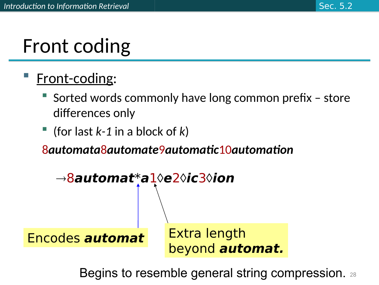### Front coding

#### Front-coding:

- Sorted words commonly have long common prefix store differences only
- (for last *k-1* in a block of *k*)

8*automata*8*automate*9*automatic*10*automation*



Begins to resemble general string compression. 28